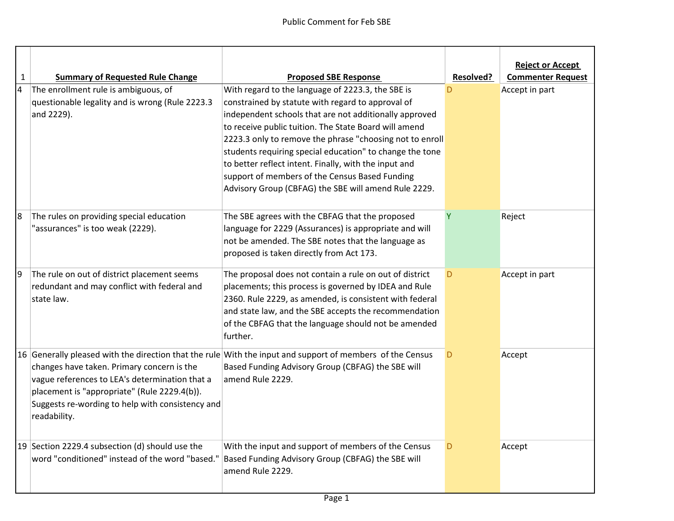| $\mathbf{1}$   | <b>Summary of Requested Rule Change</b>          | <b>Proposed SBE Response</b>                                                                              | <b>Resolved?</b> | <b>Reject or Accept</b><br><b>Commenter Request</b> |
|----------------|--------------------------------------------------|-----------------------------------------------------------------------------------------------------------|------------------|-----------------------------------------------------|
| $\overline{4}$ | The enrollment rule is ambiguous, of             | With regard to the language of 2223.3, the SBE is                                                         |                  | Accept in part                                      |
|                | questionable legality and is wrong (Rule 2223.3  | constrained by statute with regard to approval of                                                         |                  |                                                     |
|                | and 2229).                                       | independent schools that are not additionally approved                                                    |                  |                                                     |
|                |                                                  | to receive public tuition. The State Board will amend                                                     |                  |                                                     |
|                |                                                  | 2223.3 only to remove the phrase "choosing not to enroll                                                  |                  |                                                     |
|                |                                                  | students requiring special education" to change the tone                                                  |                  |                                                     |
|                |                                                  | to better reflect intent. Finally, with the input and                                                     |                  |                                                     |
|                |                                                  | support of members of the Census Based Funding                                                            |                  |                                                     |
|                |                                                  | Advisory Group (CBFAG) the SBE will amend Rule 2229.                                                      |                  |                                                     |
| 18             | The rules on providing special education         | The SBE agrees with the CBFAG that the proposed                                                           | Y                | Reject                                              |
|                | "assurances" is too weak (2229).                 | language for 2229 (Assurances) is appropriate and will                                                    |                  |                                                     |
|                |                                                  | not be amended. The SBE notes that the language as                                                        |                  |                                                     |
|                |                                                  | proposed is taken directly from Act 173.                                                                  |                  |                                                     |
| 9              | The rule on out of district placement seems      | The proposal does not contain a rule on out of district                                                   | D                | Accept in part                                      |
|                | redundant and may conflict with federal and      | placements; this process is governed by IDEA and Rule                                                     |                  |                                                     |
|                | state law.                                       | 2360. Rule 2229, as amended, is consistent with federal                                                   |                  |                                                     |
|                |                                                  | and state law, and the SBE accepts the recommendation                                                     |                  |                                                     |
|                |                                                  | of the CBFAG that the language should not be amended<br>further.                                          |                  |                                                     |
|                |                                                  |                                                                                                           |                  |                                                     |
|                |                                                  | 16 Generally pleased with the direction that the rule With the input and support of members of the Census | D                | Accept                                              |
|                | changes have taken. Primary concern is the       | Based Funding Advisory Group (CBFAG) the SBE will                                                         |                  |                                                     |
|                | vague references to LEA's determination that a   | amend Rule 2229.                                                                                          |                  |                                                     |
|                | placement is "appropriate" (Rule 2229.4(b)).     |                                                                                                           |                  |                                                     |
|                | Suggests re-wording to help with consistency and |                                                                                                           |                  |                                                     |
|                | readability.                                     |                                                                                                           |                  |                                                     |
|                | 19 Section 2229.4 subsection (d) should use the  | With the input and support of members of the Census                                                       | D                | Accept                                              |
|                | word "conditioned" instead of the word "based."  | Based Funding Advisory Group (CBFAG) the SBE will                                                         |                  |                                                     |
|                |                                                  | amend Rule 2229.                                                                                          |                  |                                                     |
|                |                                                  |                                                                                                           |                  |                                                     |
|                |                                                  |                                                                                                           |                  |                                                     |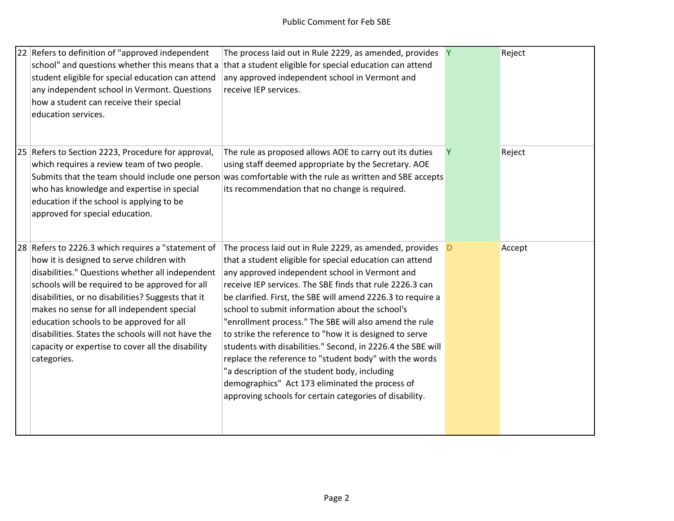| 22 Refers to definition of "approved independent<br>school" and questions whether this means that a<br>student eligible for special education can attend<br>any independent school in Vermont. Questions<br>how a student can receive their special<br>education services.                                                                                                                                                                                                       | The process laid out in Rule 2229, as amended, provides Y<br>that a student eligible for special education can attend<br>any approved independent school in Vermont and<br>receive IEP services.                                                                                                                                                                                                                                                                                                                                                                                                                                                                                                                                                                   |   | Reject |
|----------------------------------------------------------------------------------------------------------------------------------------------------------------------------------------------------------------------------------------------------------------------------------------------------------------------------------------------------------------------------------------------------------------------------------------------------------------------------------|--------------------------------------------------------------------------------------------------------------------------------------------------------------------------------------------------------------------------------------------------------------------------------------------------------------------------------------------------------------------------------------------------------------------------------------------------------------------------------------------------------------------------------------------------------------------------------------------------------------------------------------------------------------------------------------------------------------------------------------------------------------------|---|--------|
| 25 Refers to Section 2223, Procedure for approval,<br>which requires a review team of two people.<br>who has knowledge and expertise in special<br>education if the school is applying to be<br>approved for special education.                                                                                                                                                                                                                                                  | The rule as proposed allows AOE to carry out its duties<br>using staff deemed appropriate by the Secretary. AOE<br>Submits that the team should include one person was comfortable with the rule as written and SBE accepts<br>its recommendation that no change is required.                                                                                                                                                                                                                                                                                                                                                                                                                                                                                      | Y | Reject |
| 28 Refers to 2226.3 which requires a "statement of<br>how it is designed to serve children with<br>disabilities." Questions whether all independent<br>schools will be required to be approved for all<br>disabilities, or no disabilities? Suggests that it<br>makes no sense for all independent special<br>education schools to be approved for all<br>disabilities. States the schools will not have the<br>capacity or expertise to cover all the disability<br>categories. | The process laid out in Rule 2229, as amended, provides D<br>that a student eligible for special education can attend<br>any approved independent school in Vermont and<br>receive IEP services. The SBE finds that rule 2226.3 can<br>be clarified. First, the SBE will amend 2226.3 to require a<br>school to submit information about the school's<br>"enrollment process." The SBE will also amend the rule<br>to strike the reference to "how it is designed to serve<br>students with disabilities." Second, in 2226.4 the SBE will<br>replace the reference to "student body" with the words<br>"a description of the student body, including<br>demographics" Act 173 eliminated the process of<br>approving schools for certain categories of disability. |   | Accept |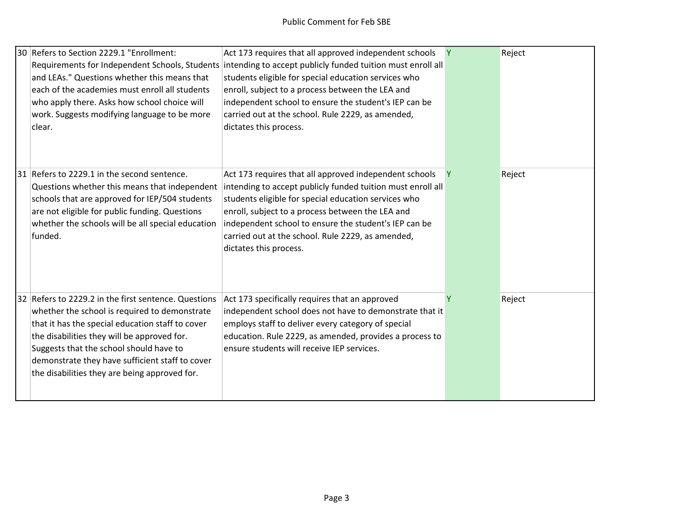| 30 Refers to Section 2229.1 "Enrollment:<br>and LEAs." Questions whether this means that<br>each of the academies must enroll all students<br>who apply there. Asks how school choice will<br>work. Suggests modifying language to be more<br>clear.                                                                                                    | Act 173 requires that all approved independent schools<br>Requirements for Independent Schools, Students intending to accept publicly funded tuition must enroll all<br>students eligible for special education services who<br>enroll, subject to a process between the LEA and<br>independent school to ensure the student's IEP can be<br>carried out at the school. Rule 2229, as amended,<br>dictates this process. | Y | Reject |
|---------------------------------------------------------------------------------------------------------------------------------------------------------------------------------------------------------------------------------------------------------------------------------------------------------------------------------------------------------|--------------------------------------------------------------------------------------------------------------------------------------------------------------------------------------------------------------------------------------------------------------------------------------------------------------------------------------------------------------------------------------------------------------------------|---|--------|
| 31 Refers to 2229.1 in the second sentence.<br>Questions whether this means that independent<br>schools that are approved for IEP/504 students<br>are not eligible for public funding. Questions<br>whether the schools will be all special education<br>funded.                                                                                        | Act 173 requires that all approved independent schools<br>intending to accept publicly funded tuition must enroll all<br>students eligible for special education services who<br>enroll, subject to a process between the LEA and<br>independent school to ensure the student's IEP can be<br>carried out at the school. Rule 2229, as amended,<br>dictates this process.                                                |   | Reject |
| 32 Refers to 2229.2 in the first sentence. Questions<br>whether the school is required to demonstrate<br>that it has the special education staff to cover<br>the disabilities they will be approved for.<br>Suggests that the school should have to<br>demonstrate they have sufficient staff to cover<br>the disabilities they are being approved for. | Act 173 specifically requires that an approved<br>independent school does not have to demonstrate that it<br>employs staff to deliver every category of special<br>education. Rule 2229, as amended, provides a process to<br>ensure students will receive IEP services.                                                                                                                                                 |   | Reject |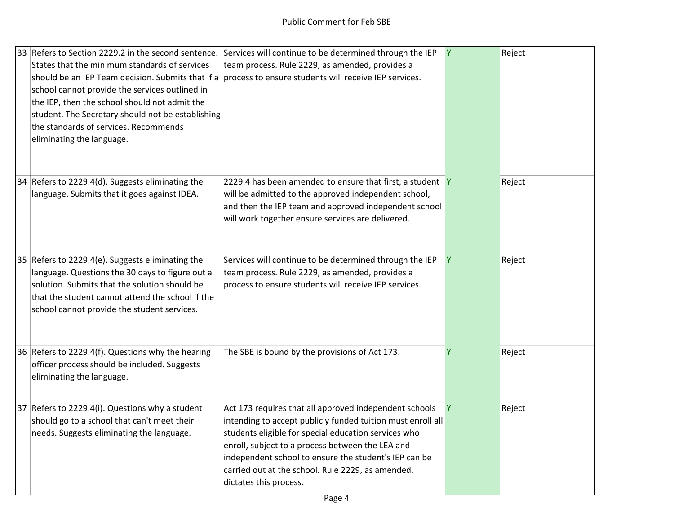| 33 Refers to Section 2229.2 in the second sentence.<br>States that the minimum standards of services<br>should be an IEP Team decision. Submits that if a<br>school cannot provide the services outlined in<br>the IEP, then the school should not admit the<br>student. The Secretary should not be establishing<br>the standards of services. Recommends<br>eliminating the language. | Services will continue to be determined through the IEP<br>team process. Rule 2229, as amended, provides a<br>process to ensure students will receive IEP services.                                                                                                                                                                                                       | Y            | Reject |
|-----------------------------------------------------------------------------------------------------------------------------------------------------------------------------------------------------------------------------------------------------------------------------------------------------------------------------------------------------------------------------------------|---------------------------------------------------------------------------------------------------------------------------------------------------------------------------------------------------------------------------------------------------------------------------------------------------------------------------------------------------------------------------|--------------|--------|
| 34 Refers to 2229.4(d). Suggests eliminating the<br>language. Submits that it goes against IDEA.                                                                                                                                                                                                                                                                                        | 2229.4 has been amended to ensure that first, a student Y<br>will be admitted to the approved independent school,<br>and then the IEP team and approved independent school<br>will work together ensure services are delivered.                                                                                                                                           |              | Reject |
| 35 Refers to 2229.4(e). Suggests eliminating the<br>language. Questions the 30 days to figure out a<br>solution. Submits that the solution should be<br>that the student cannot attend the school if the<br>school cannot provide the student services.                                                                                                                                 | Services will continue to be determined through the IEP<br>team process. Rule 2229, as amended, provides a<br>process to ensure students will receive IEP services.                                                                                                                                                                                                       | Y            | Reject |
| 36 Refers to 2229.4(f). Questions why the hearing<br>officer process should be included. Suggests<br>eliminating the language.                                                                                                                                                                                                                                                          | The SBE is bound by the provisions of Act 173.                                                                                                                                                                                                                                                                                                                            |              | Reject |
| 37 Refers to 2229.4(i). Questions why a student<br>should go to a school that can't meet their<br>needs. Suggests eliminating the language.                                                                                                                                                                                                                                             | Act 173 requires that all approved independent schools<br>intending to accept publicly funded tuition must enroll all<br>students eligible for special education services who<br>enroll, subject to a process between the LEA and<br>independent school to ensure the student's IEP can be<br>carried out at the school. Rule 2229, as amended,<br>dictates this process. | <sup>Y</sup> | Reject |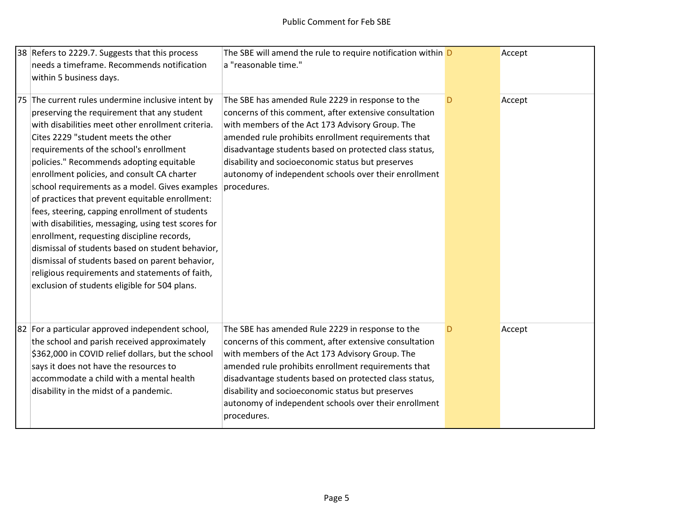| 38 Refers to 2229.7. Suggests that this process                                                                                                                                                                                                                                                                                                                                                                                                                                                                                                                                                                                                                                                                                                                                                            | The SBE will amend the rule to require notification within D                                                                                                                                                                                                                                                                                                                                                |   | Accept |
|------------------------------------------------------------------------------------------------------------------------------------------------------------------------------------------------------------------------------------------------------------------------------------------------------------------------------------------------------------------------------------------------------------------------------------------------------------------------------------------------------------------------------------------------------------------------------------------------------------------------------------------------------------------------------------------------------------------------------------------------------------------------------------------------------------|-------------------------------------------------------------------------------------------------------------------------------------------------------------------------------------------------------------------------------------------------------------------------------------------------------------------------------------------------------------------------------------------------------------|---|--------|
| needs a timeframe. Recommends notification                                                                                                                                                                                                                                                                                                                                                                                                                                                                                                                                                                                                                                                                                                                                                                 | a "reasonable time."                                                                                                                                                                                                                                                                                                                                                                                        |   |        |
| within 5 business days.                                                                                                                                                                                                                                                                                                                                                                                                                                                                                                                                                                                                                                                                                                                                                                                    |                                                                                                                                                                                                                                                                                                                                                                                                             |   |        |
| 75 The current rules undermine inclusive intent by<br>preserving the requirement that any student<br>with disabilities meet other enrollment criteria.<br>Cites 2229 "student meets the other<br>requirements of the school's enrollment<br>policies." Recommends adopting equitable<br>enrollment policies, and consult CA charter<br>school requirements as a model. Gives examples<br>of practices that prevent equitable enrollment:<br>fees, steering, capping enrollment of students<br>with disabilities, messaging, using test scores for<br>enrollment, requesting discipline records,<br>dismissal of students based on student behavior,<br>dismissal of students based on parent behavior,<br>religious requirements and statements of faith,<br>exclusion of students eligible for 504 plans. | The SBE has amended Rule 2229 in response to the<br>concerns of this comment, after extensive consultation<br>with members of the Act 173 Advisory Group. The<br>amended rule prohibits enrollment requirements that<br>disadvantage students based on protected class status,<br>disability and socioeconomic status but preserves<br>autonomy of independent schools over their enrollment<br>procedures. | D | Accept |
| 82 For a particular approved independent school,<br>the school and parish received approximately<br>\$362,000 in COVID relief dollars, but the school<br>says it does not have the resources to<br>accommodate a child with a mental health<br>disability in the midst of a pandemic.                                                                                                                                                                                                                                                                                                                                                                                                                                                                                                                      | The SBE has amended Rule 2229 in response to the<br>concerns of this comment, after extensive consultation<br>with members of the Act 173 Advisory Group. The<br>amended rule prohibits enrollment requirements that<br>disadvantage students based on protected class status,<br>disability and socioeconomic status but preserves<br>autonomy of independent schools over their enrollment<br>procedures. | D | Accept |